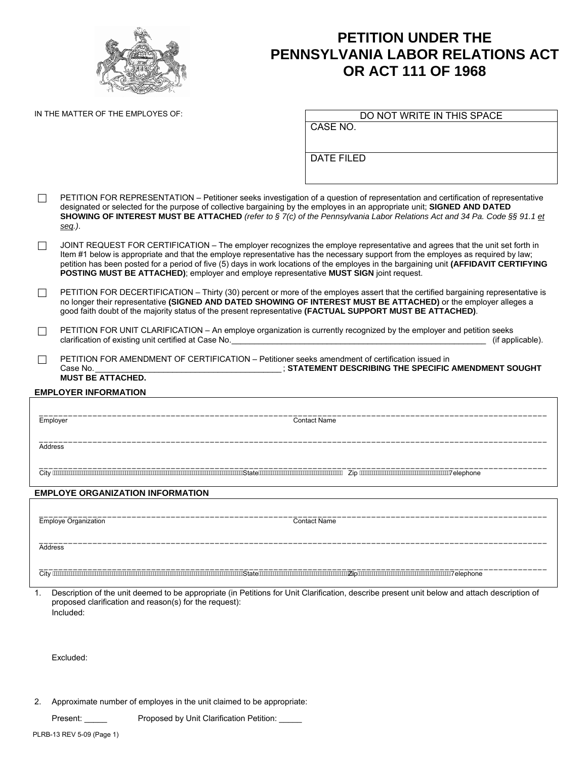

## **PETITION UNDER THE PENNSYLVANIA LABOR RELATIONS ACT OR ACT 111 OF 1968**

IN THE MATTER OF THE EMPLOYES OF:

CASE NO.

DATE FILED

- $\Box$  PETITION FOR REPRESENTATION Petitioner seeks investigation of a question of representation and certification of representative designated or selected for the purpose of collective bargaining by the employes in an appropriate unit; **SIGNED AND DATED SHOWING OF INTEREST MUST BE ATTACHED** *(refer to § 7(c) of the Pennsylvania Labor Relations Act and 34 Pa. Code §§ 91.1 et seq.)*.
- $\Box$  JOINT REQUEST FOR CERTIFICATION The employer recognizes the employe representative and agrees that the unit set forth in Item #1 below is appropriate and that the employe representative has the necessary support from the employes as required by law; petition has been posted for a period of five (5) days in work locations of the employes in the bargaining unit **(AFFIDAVIT CERTIFYING POSTING MUST BE ATTACHED)**; employer and employe representative **MUST SIGN** joint request.
- $\Box$  PETITION FOR DECERTIFICATION Thirty (30) percent or more of the employes assert that the certified bargaining representative is no longer their representative **(SIGNED AND DATED SHOWING OF INTEREST MUST BE ATTACHED)** or the employer alleges a good faith doubt of the majority status of the present representative **(FACTUAL SUPPORT MUST BE ATTACHED)**.
- PETITION FOR UNIT CLARIFICATION An employe organization is currently recognized by the employer and petition seeks<br>clarification of existing unit certified at Case No. clarification of existing unit certified at Case No.
- PETITION FOR AMENDMENT OF CERTIFICATION Petitioner seeks amendment of certification issued in<br>STATEMENT DESCRIBING THE SPECIFIC.  $\overline{\phantom{a}}$  ; STATEMENT DESCRIBING THE SPECIFIC AMENDMENT SOUGHT **MUST BE ATTACHED.**

## **EMPLOYER INFORMATION**

\_\_\_\_\_\_\_\_\_\_\_\_\_\_\_\_\_\_\_\_\_\_\_\_\_\_\_\_\_\_\_\_\_\_\_\_\_\_\_\_\_\_\_\_\_\_\_\_\_\_\_\_\_\_\_\_\_\_\_\_\_\_\_\_\_\_\_\_\_\_\_\_\_\_\_\_\_\_\_\_\_\_\_\_\_\_\_\_\_\_\_\_\_\_\_\_\_\_\_\_\_\_\_\_ Employer Contact Name \_\_\_\_\_\_\_\_\_\_\_\_\_\_\_\_\_\_\_\_\_\_\_\_\_\_\_\_\_\_\_\_\_\_\_\_\_\_\_\_\_\_\_\_\_\_\_\_\_\_\_\_\_\_\_\_\_\_\_\_\_\_\_\_\_\_\_\_\_\_\_\_\_\_\_\_\_\_\_\_\_\_\_\_\_\_\_\_\_\_\_\_\_\_\_\_\_\_\_\_\_\_\_\_ Address \_\_\_\_\_\_\_\_\_\_\_\_\_\_\_\_\_\_\_\_\_\_\_\_\_\_\_\_\_\_\_\_\_\_\_\_\_\_\_\_\_\_\_\_\_\_\_\_\_\_\_\_\_\_\_\_\_\_\_\_\_\_\_\_\_\_\_\_\_\_\_\_\_\_\_\_\_\_\_\_\_\_\_\_\_\_\_\_\_\_\_\_\_\_\_\_\_\_\_\_\_\_\_\_ City State Zip 7elephone **EMPLOYE ORGANIZATION INFORMATION**  \_\_\_\_\_\_\_\_\_\_\_\_\_\_\_\_\_\_\_\_\_\_\_\_\_\_\_\_\_\_\_\_\_\_\_\_\_\_\_\_\_\_\_\_\_\_\_\_\_\_\_\_\_\_\_\_\_\_\_\_\_\_\_\_\_\_\_\_\_\_\_\_\_\_\_\_\_\_\_\_\_\_\_\_\_\_\_\_\_\_\_\_\_\_\_\_\_\_\_\_\_\_\_\_ Employe Organization Contact Name \_\_\_\_\_\_\_\_\_\_\_\_\_\_\_\_\_\_\_\_\_\_\_\_\_\_\_\_\_\_\_\_\_\_\_\_\_\_\_\_\_\_\_\_\_\_\_\_\_\_\_\_\_\_\_\_\_\_\_\_\_\_\_\_\_\_\_\_\_\_\_\_\_\_\_\_\_\_\_\_\_\_\_\_\_\_\_\_\_\_\_\_\_\_\_\_\_\_\_\_\_\_\_\_

**Address** 

\_\_\_\_\_\_\_\_\_\_\_\_\_\_\_\_\_\_\_\_\_\_\_\_\_\_\_\_\_\_\_\_\_\_\_\_\_\_\_\_\_\_\_\_\_\_\_\_\_\_\_\_\_\_\_\_\_\_\_\_\_\_\_\_\_\_\_\_\_\_\_\_\_\_\_\_\_\_\_\_\_\_\_\_\_\_\_\_\_\_\_\_\_\_\_\_\_\_\_\_\_\_\_\_ City State Zip7elephone

1. Description of the unit deemed to be appropriate (in Petitions for Unit Clarification, describe present unit below and attach description of proposed clarification and reason(s) for the request): Included:

Excluded:

2. Approximate number of employes in the unit claimed to be appropriate:

Present: Proposed by Unit Clarification Petition: